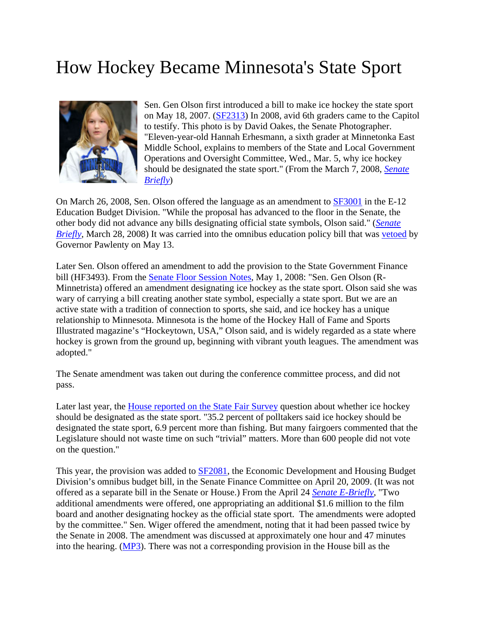## How Hockey Became Minnesota's State Sport



Sen. Gen Olson first introduced a bill to make ice hockey the state sport on May 18, 2007. [\(SF2313\)](https://www.revisor.leg.state.mn.us/revisor/pages/search_status/status_detail.php?b=Senate&f=SF2313&ssn=0&y=2007) In 2008, avid 6th graders came to the Capitol to testify. This photo is by David Oakes, the Senate Photographer. "Eleven-year-old Hannah Erhesmann, a sixth grader at Minnetonka East Middle School, explains to members of the State and Local Government Operations and Oversight Committee, Wed., Mar. 5, why ice hockey should be designated the state sport." (From the March 7, 2008, *[Senate](http://www.senate.leg.state.mn.us/briefly/2008/brief0307.pdf)  [Briefly](http://www.senate.leg.state.mn.us/briefly/2008/brief0307.pdf)*)

On March 26, 2008, Sen. Olson offered the language as an amendment to [SF3001](https://www.revisor.leg.state.mn.us/revisor/pages/search_status/status_detail.php?b=Senate&f=SF3001&ssn=0&y=2008) in the E-12 Education Budget Division. "While the proposal has advanced to the floor in the Senate, the other body did not advance any bills designating official state symbols, Olson said." (*[Senate](http://www.senate.leg.state.mn.us/briefly/edition_display.php?filename_type=brief&year=2008&month=03&date=28)  [Briefly](http://www.senate.leg.state.mn.us/briefly/edition_display.php?filename_type=brief&year=2008&month=03&date=28)*, March 28, 2008) It was carried into the omnibus education policy bill that was [vetoed](http://www.leg.mn/archive/vetoes/2008veto_ch310.pdf) by Governor Pawlenty on May 13.

Later Sen. Olson offered an amendment to add the provision to the State Government Finance bill (HF3493). From the [Senate Floor Session Notes,](http://www.senate.leg.state.mn.us/briefly/floor_display.php?filename_type=floor&month=05&date=01&year=2008) May 1, 2008: "Sen. Gen Olson (R-Minnetrista) offered an amendment designating ice hockey as the state sport. Olson said she was wary of carrying a bill creating another state symbol, especially a state sport. But we are an active state with a tradition of connection to sports, she said, and ice hockey has a unique relationship to Minnesota. Minnesota is the home of the Hockey Hall of Fame and Sports Illustrated magazine's "Hockeytown, USA," Olson said, and is widely regarded as a state where hockey is grown from the ground up, beginning with vibrant youth leagues. The amendment was adopted."

The Senate amendment was taken out during the conference committee process, and did not pass.

Later last year, the **House reported on the State Fair Survey** question about whether ice hockey should be designated as the state sport. "35.2 percent of polltakers said ice hockey should be designated the state sport, 6.9 percent more than fishing. But many fairgoers commented that the Legislature should not waste time on such "trivial" matters. More than 600 people did not vote on the question."

This year, the provision was added to **SF2081**, the Economic Development and Housing Budget Division's omnibus budget bill, in the Senate Finance Committee on April 20, 2009. (It was not offered as a separate bill in the Senate or House.) From the April 24 *[Senate E-Briefly](http://www.senate.leg.state.mn.us/briefly/edition_display.php?filename_type=brief&year=2009&month=04&date=24)*, "Two additional amendments were offered, one appropriating an additional \$1.6 million to the film board and another designating hockey as the official state sport. The amendments were adopted by the committee." Sen. Wiger offered the amendment, noting that it had been passed twice by the Senate in 2008. The amendment was discussed at approximately one hour and 47 minutes into the hearing. [\(MP3\)](http://stream1.video.state.mn.us:8080/ramgen/SenateAudio/cmte_fin_042009.MP3). There was not a corresponding provision in the House bill as the